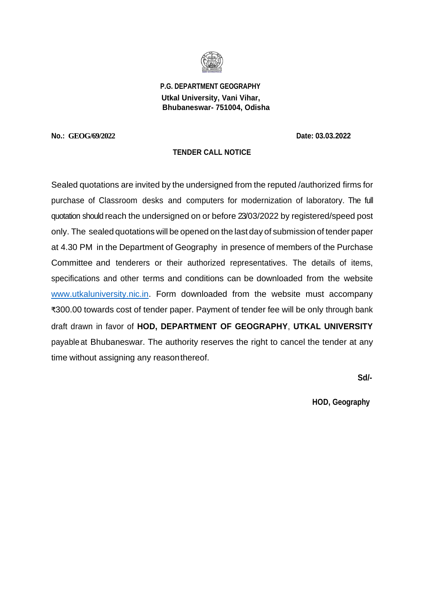

 **P.G. DEPARTMENT GEOGRAPHY Utkal University, Vani Vihar, Bhubaneswar- 751004, Odisha**

**No.: GEOG/69/2022 Date: 03.03.2022**

# **TENDER CALL NOTICE**

Sealed quotations are invited by the undersigned from the reputed /authorized firms for purchase of Classroom desks and computers for modernization of laboratory. The full quotation should reach the undersigned on or before 23/03/2022 by registered/speed post only. The sealed quotations will be opened on the last day of submission of tender paper at 4.30 PM in the Department of Geography in presence of members of the Purchase Committee and tenderers or their authorized representatives. The details of items, specifications and other terms and conditions can be downloaded from the website [www.utkaluniversity.nic.in.](http://www.utkaluniversity.nic.in/) Form downloaded from the website must accompany ₹300.00 towards cost of tender paper. Payment of tender fee will be only through bank draft drawn in favor of **HOD, DEPARTMENT OF GEOGRAPHY**, **UTKAL UNIVERSITY** payableat Bhubaneswar. The authority reserves the right to cancel the tender at any time without assigning any reasonthereof.

**Sd/-** 

**HOD, Geography**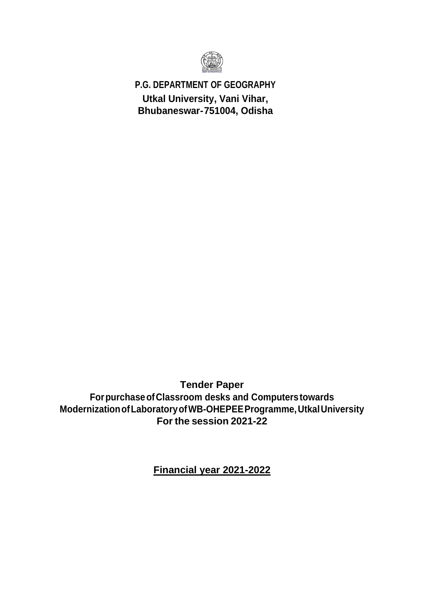

**P.G. DEPARTMENT OF GEOGRAPHY Utkal University, Vani Vihar, Bhubaneswar-751004, Odisha**

**Tender Paper ForpurchaseofClassroom desks and Computerstowards ModernizationofLaboratoryofWB-OHEPEEProgramme,UtkalUniversity For the session 2021-22**

**Financial year 2021-2022**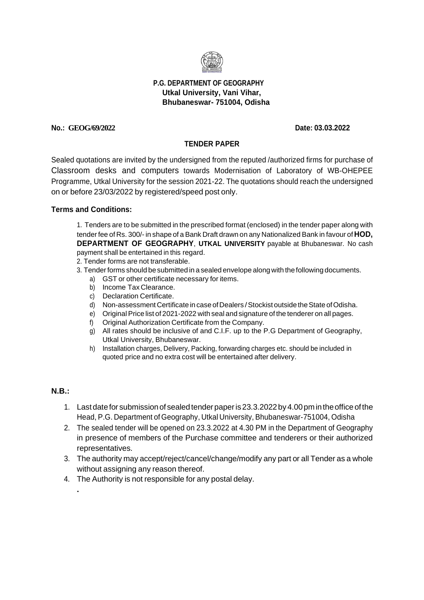

# **P.G. DEPARTMENT OF GEOGRAPHY Utkal University, Vani Vihar, Bhubaneswar- 751004, Odisha**

## **No.: GEOG/69/2022 Date: 03.03.2022**

# **TENDER PAPER**

Sealed quotations are invited by the undersigned from the reputed /authorized firms for purchase of Classroom desks and computers towards Modernisation of Laboratory of WB-OHEPEE Programme, Utkal University for the session 2021-22. The quotations should reach the undersigned on or before 23/03/2022 by registered/speed post only.

#### **Terms and Conditions:**

1. Tenders are to be submitted in the prescribed format (enclosed) in the tender paper along with tenderfee of Rs. 300/- in shape of a Bank Draft drawn on any Nationalized Bank in favour of **HOD, DEPARTMENT OF GEOGRAPHY**, **UTKAL UNIVERSITY** payable at Bhubaneswar. No cash payment shall be entertained in this regard.

- 2. Tender forms are not transferable.
- 3. Tenderforms should be submitted in a sealed envelope alongwith thefollowing documents.
	- a) GST or other certificate necessary for items.
	- b) Income Tax Clearance.
	- c) Declaration Certificate.
	- d) Non-assessment Certificate in case of Dealers / Stockist outside the State of Odisha.
	- e) Original Price list of 2021-2022 with seal and signature of the tenderer on all pages.
	- f) Original Authorization Certificate from the Company.
	- g) All rates should be inclusive of and C.I.F. up to the P.G Department of Geography, Utkal University, Bhubaneswar.
	- h) Installation charges, Delivery, Packing, forwarding charges etc. should be included in quoted price and no extra cost will be entertained after delivery.

## **N.B.:**

**.**

- 1. Lastdatefor submissionof sealedtenderpaperis23.3.2022by4.00pmintheoffice ofthe Head, P.G. Department of Geography, Utkal University, Bhubaneswar-751004, Odisha
- 2. The sealed tender will be opened on 23.3.2022 at 4.30 PM in the Department of Geography in presence of members of the Purchase committee and tenderers or their authorized representatives.
- 3. The authority may accept/reject/cancel/change/modify any part or all Tender as a whole without assigning any reason thereof.
- 4. The Authority is not responsible for any postal delay.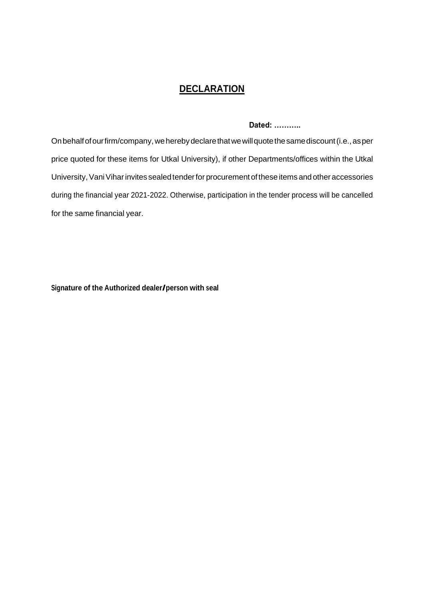# **DECLARATION**

Dated: ...........

On behalf of our firm/company, we hereby declare that we will quote the same discount (i.e., as per price quoted for these items for Utkal University), if other Departments/offices within the Utkal University, Vani Vihar invites sealed tender for procurement of these items and other accessories during the financial year 2021-2022. Otherwise, participation in the tender process will be cancelled for the same financial year.

Signature of the Authorized dealer/person with seal